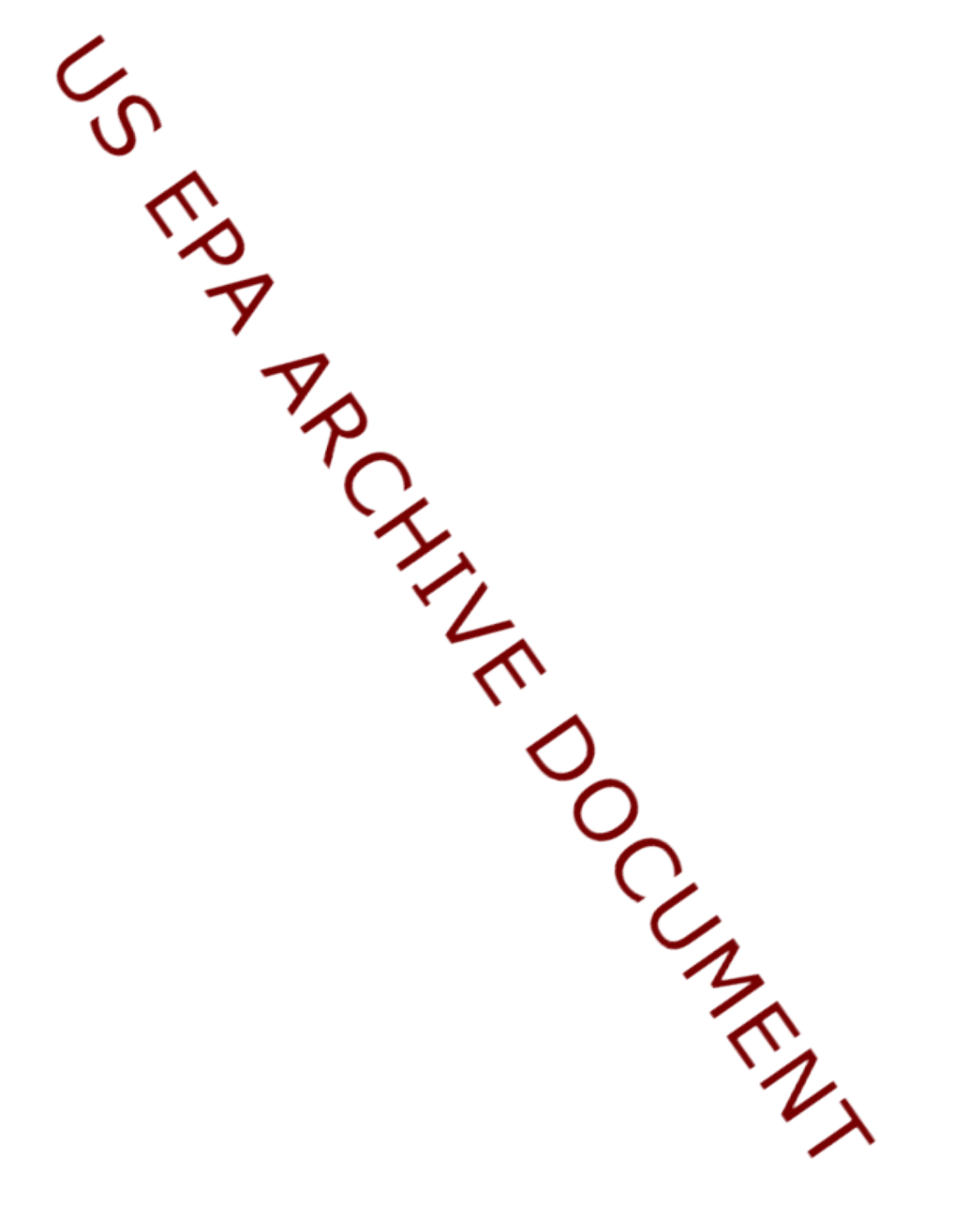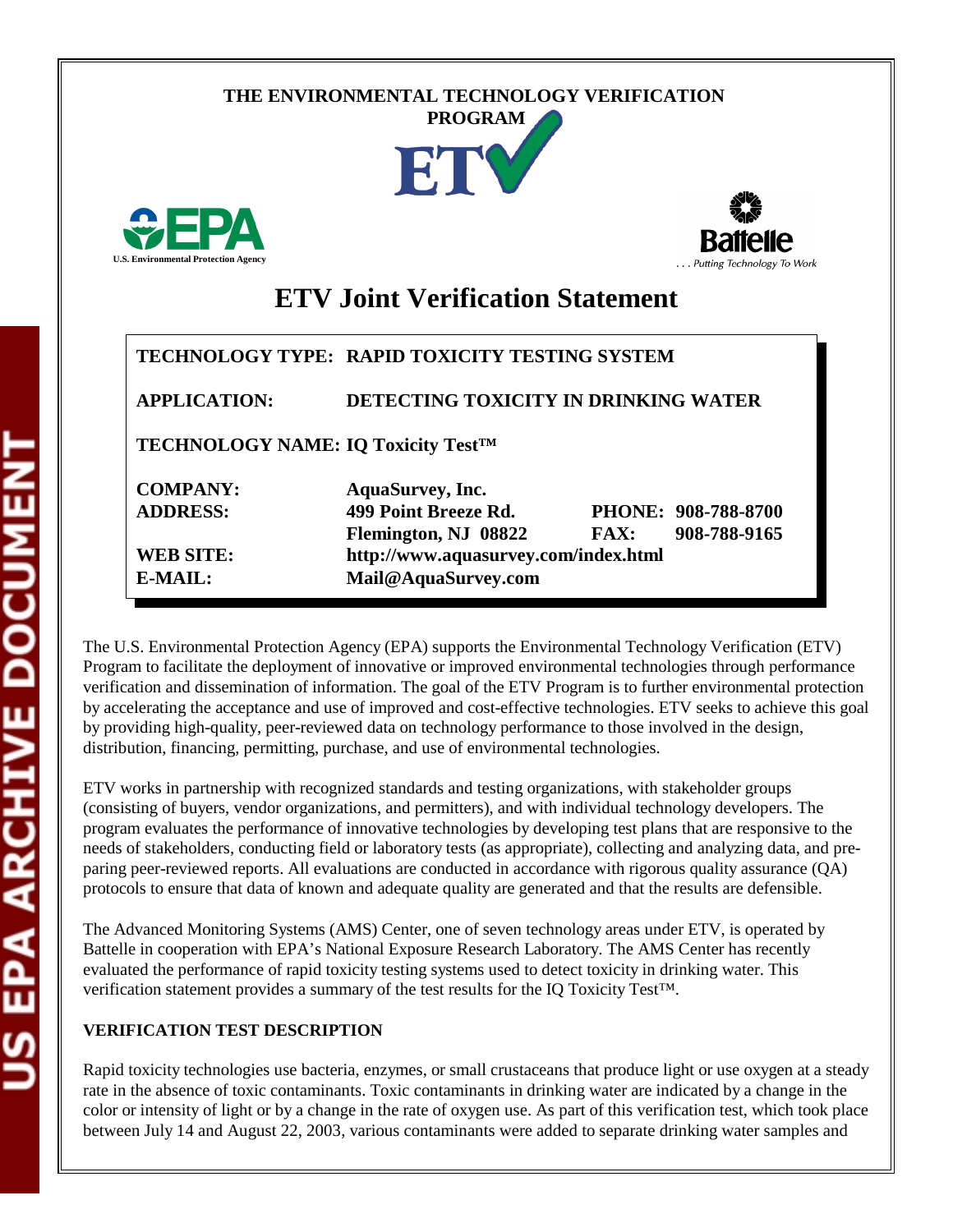# **THE ENVIRONMENTAL TECHNOLOGY VERIFICATION**







# **ETV Joint Verification Statement**

|                                                 | TECHNOLOGY TYPE: RAPID TOXICITY TESTING SYSTEM |      |                     |  |  |
|-------------------------------------------------|------------------------------------------------|------|---------------------|--|--|
| <b>APPLICATION:</b>                             | DETECTING TOXICITY IN DRINKING WATER           |      |                     |  |  |
| TECHNOLOGY NAME: IQ Toxicity Test <sup>TM</sup> |                                                |      |                     |  |  |
| <b>COMPANY:</b>                                 | <b>AquaSurvey</b> , Inc.                       |      |                     |  |  |
| <b>ADDRESS:</b>                                 | 499 Point Breeze Rd.                           |      | PHONE: 908-788-8700 |  |  |
|                                                 | Flemington, NJ 08822                           | FAX: | 908-788-9165        |  |  |
| <b>WEB SITE:</b>                                | http://www.aquasurvey.com/index.html           |      |                     |  |  |
| $E\text{-}{M}\text{A}H$ .:                      | Mail@AquaSurvey.com                            |      |                     |  |  |

The U.S. Environmental Protection Agency (EPA) supports the Environmental Technology Verification (ETV) Program to facilitate the deployment of innovative or improved environmental technologies through performance verification and dissemination of information. The goal of the ETV Program is to further environmental protection by accelerating the acceptance and use of improved and cost-effective technologies. ETV seeks to achieve this goal by providing high-quality, peer-reviewed data on technology performance to those involved in the design, distribution, financing, permitting, purchase, and use of environmental technologies.

ETV works in partnership with recognized standards and testing organizations, with stakeholder groups (consisting of buyers, vendor organizations, and permitters), and with individual technology developers. The program evaluates the performance of innovative technologies by developing test plans that are responsive to the needs of stakeholders, conducting field or laboratory tests (as appropriate), collecting and analyzing data, and preparing peer-reviewed reports. All evaluations are conducted in accordance with rigorous quality assurance (QA) protocols to ensure that data of known and adequate quality are generated and that the results are defensible.

The Advanced Monitoring Systems (AMS) Center, one of seven technology areas under ETV, is operated by Battelle in cooperation with EPA's National Exposure Research Laboratory. The AMS Center has recently evaluated the performance of rapid toxicity testing systems used to detect toxicity in drinking water. This verification statement provides a summary of the test results for the IQ Toxicity Test™.

## **VERIFICATION TEST DESCRIPTION**

Rapid toxicity technologies use bacteria, enzymes, or small crustaceans that produce light or use oxygen at a steady rate in the absence of toxic contaminants. Toxic contaminants in drinking water are indicated by a change in the color or intensity of light or by a change in the rate of oxygen use. As part of this verification test, which took place between July 14 and August 22, 2003, various contaminants were added to separate drinking water samples and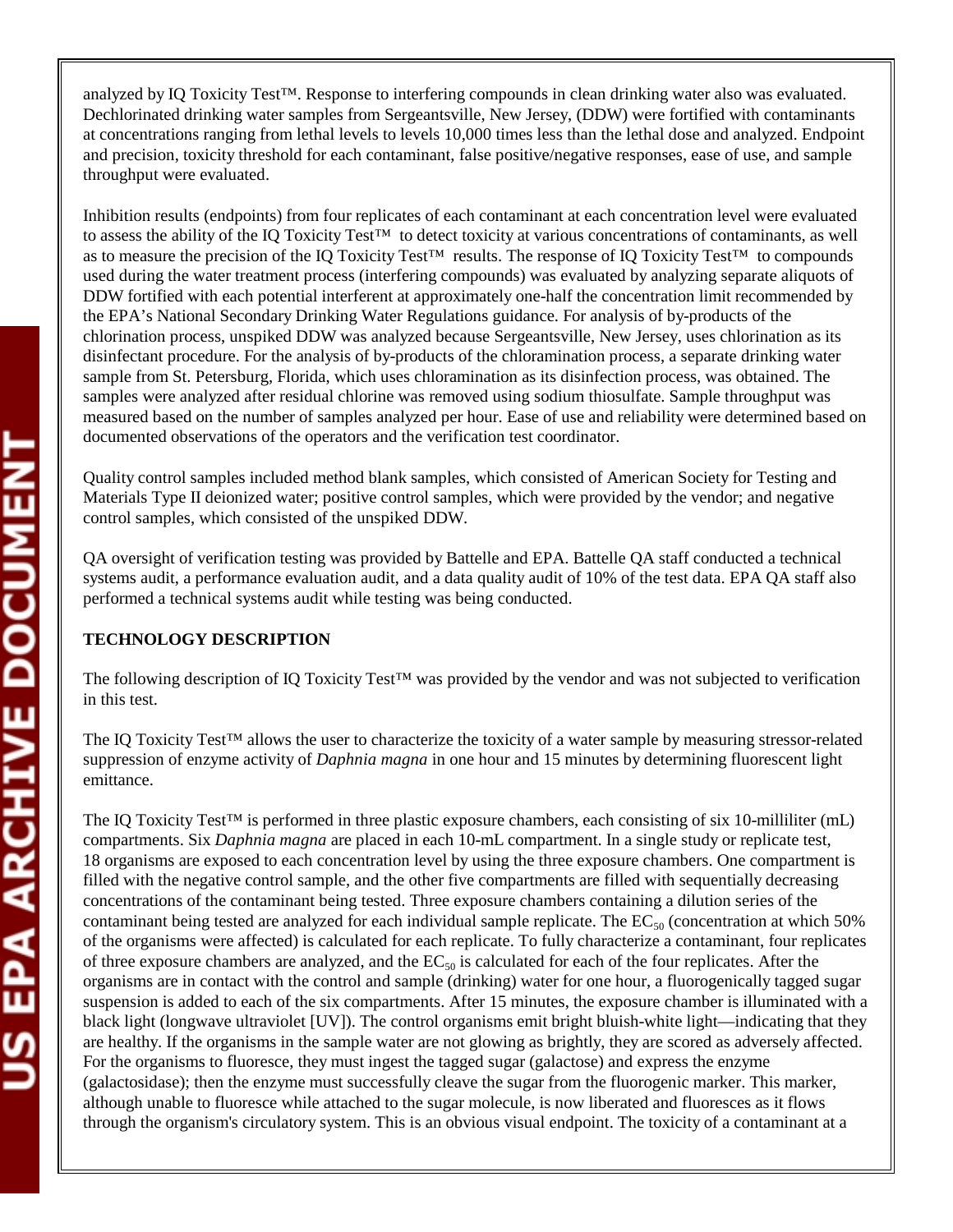analyzed by IQ Toxicity Test™. Response to interfering compounds in clean drinking water also was evaluated. Dechlorinated drinking water samples from Sergeantsville, New Jersey, (DDW) were fortified with contaminants at concentrations ranging from lethal levels to levels 10,000 times less than the lethal dose and analyzed. Endpoint and precision, toxicity threshold for each contaminant, false positive/negative responses, ease of use, and sample throughput were evaluated.

Inhibition results (endpoints) from four replicates of each contaminant at each concentration level were evaluated to assess the ability of the IQ Toxicity Test™ to detect toxicity at various concentrations of contaminants, as well as to measure the precision of the IQ Toxicity Test™ results. The response of IQ Toxicity Test™ to compounds used during the water treatment process (interfering compounds) was evaluated by analyzing separate aliquots of DDW fortified with each potential interferent at approximately one-half the concentration limit recommended by the EPA's National Secondary Drinking Water Regulations guidance. For analysis of by-products of the chlorination process, unspiked DDW was analyzed because Sergeantsville, New Jersey, uses chlorination as its disinfectant procedure. For the analysis of by-products of the chloramination process, a separate drinking water sample from St. Petersburg, Florida, which uses chloramination as its disinfection process, was obtained. The samples were analyzed after residual chlorine was removed using sodium thiosulfate. Sample throughput was measured based on the number of samples analyzed per hour. Ease of use and reliability were determined based on documented observations of the operators and the verification test coordinator.

Quality control samples included method blank samples, which consisted of American Society for Testing and Materials Type II deionized water; positive control samples, which were provided by the vendor; and negative control samples, which consisted of the unspiked DDW.

QA oversight of verification testing was provided by Battelle and EPA. Battelle QA staff conducted a technical systems audit, a performance evaluation audit, and a data quality audit of 10% of the test data. EPA QA staff also performed a technical systems audit while testing was being conducted.

### **TECHNOLOGY DESCRIPTION**

The following description of IQ Toxicity Test™ was provided by the vendor and was not subjected to verification in this test.

The IQ Toxicity Test™ allows the user to characterize the toxicity of a water sample by measuring stressor-related suppression of enzyme activity of *Daphnia magna* in one hour and 15 minutes by determining fluorescent light emittance.

The IQ Toxicity Test™ is performed in three plastic exposure chambers, each consisting of six 10-milliliter (mL) compartments. Six *Daphnia magna* are placed in each 10-mL compartment. In a single study or replicate test, 18 organisms are exposed to each concentration level by using the three exposure chambers. One compartment is filled with the negative control sample, and the other five compartments are filled with sequentially decreasing concentrations of the contaminant being tested. Three exposure chambers containing a dilution series of the contaminant being tested are analyzed for each individual sample replicate. The  $EC_{50}$  (concentration at which 50% of the organisms were affected) is calculated for each replicate. To fully characterize a contaminant, four replicates of three exposure chambers are analyzed, and the  $EC_{50}$  is calculated for each of the four replicates. After the organisms are in contact with the control and sample (drinking) water for one hour, a fluorogenically tagged sugar suspension is added to each of the six compartments. After 15 minutes, the exposure chamber is illuminated with a black light (longwave ultraviolet [UV]). The control organisms emit bright bluish-white light—indicating that they are healthy. If the organisms in the sample water are not glowing as brightly, they are scored as adversely affected. For the organisms to fluoresce, they must ingest the tagged sugar (galactose) and express the enzyme (galactosidase); then the enzyme must successfully cleave the sugar from the fluorogenic marker. This marker, although unable to fluoresce while attached to the sugar molecule, is now liberated and fluoresces as it flows through the organism's circulatory system. This is an obvious visual endpoint. The toxicity of a contaminant at a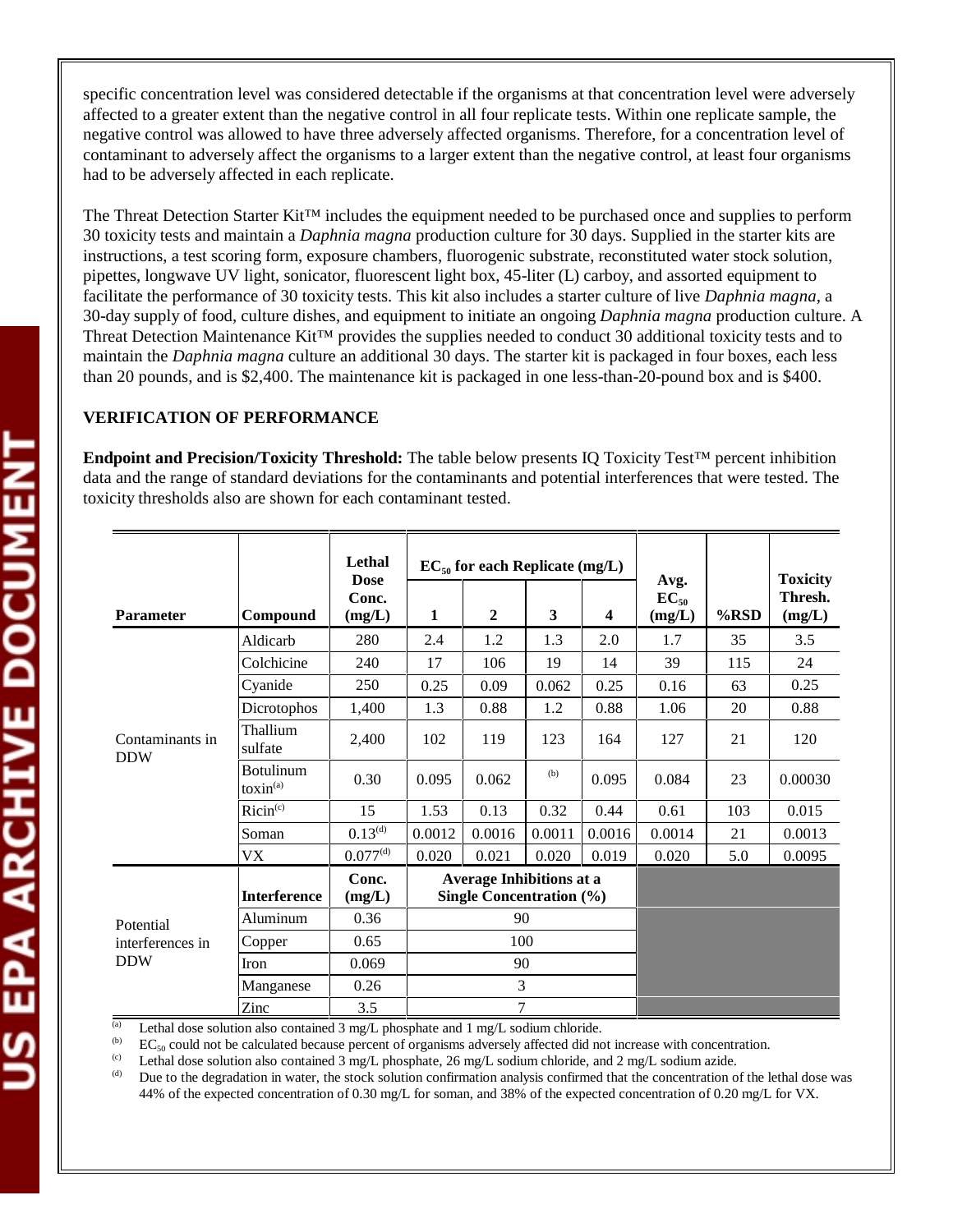specific concentration level was considered detectable if the organisms at that concentration level were adversely affected to a greater extent than the negative control in all four replicate tests. Within one replicate sample, the negative control was allowed to have three adversely affected organisms. Therefore, for a concentration level of contaminant to adversely affect the organisms to a larger extent than the negative control, at least four organisms had to be adversely affected in each replicate.

The Threat Detection Starter Kit™ includes the equipment needed to be purchased once and supplies to perform 30 toxicity tests and maintain a *Daphnia magna* production culture for 30 days. Supplied in the starter kits are instructions, a test scoring form, exposure chambers, fluorogenic substrate, reconstituted water stock solution, pipettes, longwave UV light, sonicator, fluorescent light box, 45-liter (L) carboy, and assorted equipment to facilitate the performance of 30 toxicity tests. This kit also includes a starter culture of live *Daphnia magna*, a 30-day supply of food, culture dishes, and equipment to initiate an ongoing *Daphnia magna* production culture. A Threat Detection Maintenance Kit™ provides the supplies needed to conduct 30 additional toxicity tests and to maintain the *Daphnia magna* culture an additional 30 days. The starter kit is packaged in four boxes, each less than 20 pounds, and is \$2,400. The maintenance kit is packaged in one less-than-20-pound box and is \$400.

#### **VERIFICATION OF PERFORMANCE**

**Endpoint and Precision/Toxicity Threshold:** The table below presents IQ Toxicity Test™ percent inhibition data and the range of standard deviations for the contaminants and potential interferences that were tested. The toxicity thresholds also are shown for each contaminant tested.

|                                             |                                                   | Lethal<br><b>Dose</b> | $EC_{50}$ for each Replicate (mg/L)                                |                  |        |                         |                             | <b>Toxicity</b> |                   |
|---------------------------------------------|---------------------------------------------------|-----------------------|--------------------------------------------------------------------|------------------|--------|-------------------------|-----------------------------|-----------------|-------------------|
| <b>Parameter</b>                            | Compound                                          | Conc.<br>(mg/L)       | 1                                                                  | $\boldsymbol{2}$ | 3      | $\overline{\mathbf{4}}$ | Avg.<br>$EC_{50}$<br>(mg/L) | %RSD            | Thresh.<br>(mg/L) |
|                                             | Aldicarb                                          | 280                   | 2.4                                                                | 1.2              | 1.3    | 2.0                     | 1.7                         | 35              | 3.5               |
|                                             | Colchicine                                        | 240                   | 17                                                                 | 106              | 19     | 14                      | 39                          | 115             | 24                |
|                                             | Cyanide                                           | 250                   | 0.25                                                               | 0.09             | 0.062  | 0.25                    | 0.16                        | 63              | 0.25              |
|                                             | Dicrotophos                                       | 1,400                 | 1.3                                                                | 0.88             | 1.2    | 0.88                    | 1.06                        | 20              | 0.88              |
| Contaminants in<br><b>DDW</b>               | Thallium<br>sulfate                               | 2,400                 | 102                                                                | 119              | 123    | 164                     | 127                         | 21              | 120               |
|                                             | <b>Botulinum</b><br>$\text{to}\,\text{sin}^{(a)}$ | 0.30                  | 0.095                                                              | 0.062            | (b)    | 0.095                   | 0.084                       | 23              | 0.00030           |
|                                             | Ricin <sup>(c)</sup>                              | 15                    | 1.53                                                               | 0.13             | 0.32   | 0.44                    | 0.61                        | 103             | 0.015             |
|                                             | Soman                                             | $0.13^{(d)}$          | 0.0012                                                             | 0.0016           | 0.0011 | 0.0016                  | 0.0014                      | 21              | 0.0013            |
|                                             | VX                                                | $0.077^{(d)}$         | 0.020                                                              | 0.021            | 0.020  | 0.019                   | 0.020                       | 5.0             | 0.0095            |
|                                             | <b>Interference</b>                               | Conc.<br>(mg/L)       | <b>Average Inhibitions at a</b><br><b>Single Concentration (%)</b> |                  |        |                         |                             |                 |                   |
| Potential<br>interferences in<br><b>DDW</b> | Aluminum                                          | 0.36                  | 90                                                                 |                  |        |                         |                             |                 |                   |
|                                             | Copper                                            | 0.65                  | 100                                                                |                  |        |                         |                             |                 |                   |
|                                             | <b>Iron</b>                                       | 0.069                 | 90                                                                 |                  |        |                         |                             |                 |                   |
|                                             | Manganese                                         | 0.26                  | 3                                                                  |                  |        |                         |                             |                 |                   |
|                                             | Zinc                                              | 3.5                   | $\tau$                                                             |                  |        |                         |                             |                 |                   |

(a) Lethal dose solution also contained 3 mg/L phosphate and 1 mg/L sodium chloride.

(b) EC<sub>50</sub> could not be calculated because percent of organisms adversely affected did not increase with concentration.<br>
(c) Lethal does solution also contained 3 mg/L phosphate 26 mg/L sodium chloride, and 2 mg/L sodium

(c) Lethal dose solution also contained 3 mg/L phosphate, 26 mg/L sodium chloride, and 2 mg/L sodium azide.<br>(a) Due to the degradation in water, the stock solution confirmation analysis confirmed that the concentration of

Due to the degradation in water, the stock solution confirmation analysis confirmed that the concentration of the lethal dose was 44% of the expected concentration of 0.30 mg/L for soman, and 38% of the expected concentration of 0.20 mg/L for VX.